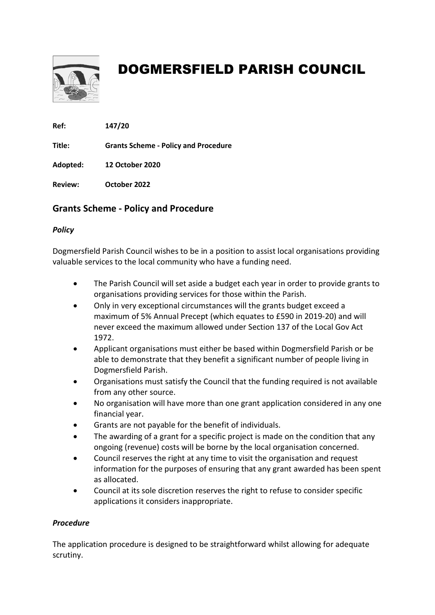

## DOGMERSFIELD PARISH COUNCIL

Ref: 147/20

Title: Grants Scheme - Policy and Procedure

Adopted: 12 October 2020

Review: October 2022

### Grants Scheme - Policy and Procedure

#### **Policy**

Dogmersfield Parish Council wishes to be in a position to assist local organisations providing valuable services to the local community who have a funding need.

- The Parish Council will set aside a budget each year in order to provide grants to organisations providing services for those within the Parish.
- Only in very exceptional circumstances will the grants budget exceed a maximum of 5% Annual Precept (which equates to £590 in 2019-20) and will never exceed the maximum allowed under Section 137 of the Local Gov Act 1972.
- Applicant organisations must either be based within Dogmersfield Parish or be able to demonstrate that they benefit a significant number of people living in Dogmersfield Parish.
- Organisations must satisfy the Council that the funding required is not available from any other source.
- No organisation will have more than one grant application considered in any one financial year.
- Grants are not payable for the benefit of individuals.
- The awarding of a grant for a specific project is made on the condition that any ongoing (revenue) costs will be borne by the local organisation concerned.
- Council reserves the right at any time to visit the organisation and request information for the purposes of ensuring that any grant awarded has been spent as allocated.
- Council at its sole discretion reserves the right to refuse to consider specific applications it considers inappropriate.

#### Procedure

The application procedure is designed to be straightforward whilst allowing for adequate scrutiny.